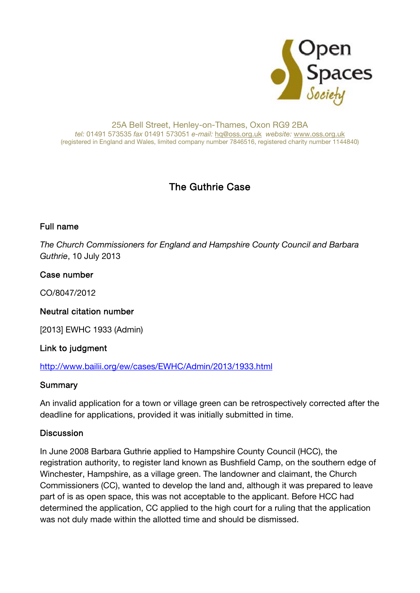

#### 25A Bell Street, Henley-on-Thames, Oxon RG9 2BA tel: 01491 573535 fax 01491 573051 e-mail: hq@oss.org.uk website: www.oss.org.uk (registered in England and Wales, limited company number 7846516, registered charity number 1144840)

# The Guthrie Case

### Full name

The Church Commissioners for England and Hampshire County Council and Barbara Guthrie, 10 July 2013

### Case number

CO/8047/2012

### Neutral citation number

[2013] EWHC 1933 (Admin)

### Link to judgment

### http://www.bailii.org/ew/cases/EWHC/Admin/2013/1933.html

### **Summary**

An invalid application for a town or village green can be retrospectively corrected after the deadline for applications, provided it was initially submitted in time.

### **Discussion**

In June 2008 Barbara Guthrie applied to Hampshire County Council (HCC), the registration authority, to register land known as Bushfield Camp, on the southern edge of Winchester, Hampshire, as a village green. The landowner and claimant, the Church Commissioners (CC), wanted to develop the land and, although it was prepared to leave part of is as open space, this was not acceptable to the applicant. Before HCC had determined the application, CC applied to the high court for a ruling that the application was not duly made within the allotted time and should be dismissed.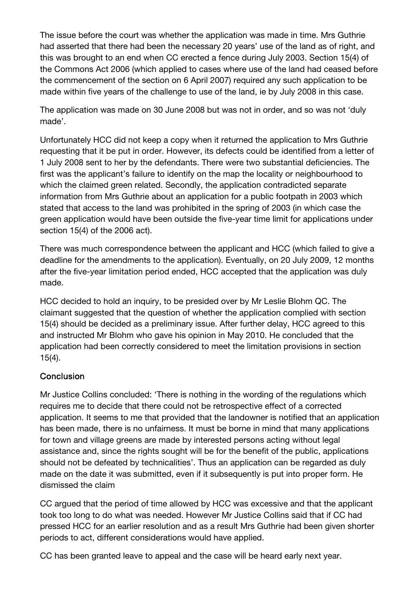The issue before the court was whether the application was made in time. Mrs Guthrie had asserted that there had been the necessary 20 years' use of the land as of right, and this was brought to an end when CC erected a fence during July 2003. Section 15(4) of the Commons Act 2006 (which applied to cases where use of the land had ceased before the commencement of the section on 6 April 2007) required any such application to be made within five years of the challenge to use of the land, ie by July 2008 in this case.

The application was made on 30 June 2008 but was not in order, and so was not 'duly made'.

Unfortunately HCC did not keep a copy when it returned the application to Mrs Guthrie requesting that it be put in order. However, its defects could be identified from a letter of 1 July 2008 sent to her by the defendants. There were two substantial deficiencies. The first was the applicant's failure to identify on the map the locality or neighbourhood to which the claimed green related. Secondly, the application contradicted separate information from Mrs Guthrie about an application for a public footpath in 2003 which stated that access to the land was prohibited in the spring of 2003 (in which case the green application would have been outside the five-year time limit for applications under section 15(4) of the 2006 act).

There was much correspondence between the applicant and HCC (which failed to give a deadline for the amendments to the application). Eventually, on 20 July 2009, 12 months after the five-year limitation period ended, HCC accepted that the application was duly made.

HCC decided to hold an inquiry, to be presided over by Mr Leslie Blohm QC. The claimant suggested that the question of whether the application complied with section 15(4) should be decided as a preliminary issue. After further delay, HCC agreed to this and instructed Mr Blohm who gave his opinion in May 2010. He concluded that the application had been correctly considered to meet the limitation provisions in section 15(4).

### **Conclusion**

Mr Justice Collins concluded: 'There is nothing in the wording of the regulations which requires me to decide that there could not be retrospective effect of a corrected application. It seems to me that provided that the landowner is notified that an application has been made, there is no unfairness. It must be borne in mind that many applications for town and village greens are made by interested persons acting without legal assistance and, since the rights sought will be for the benefit of the public, applications should not be defeated by technicalities'. Thus an application can be regarded as duly made on the date it was submitted, even if it subsequently is put into proper form. He dismissed the claim

CC argued that the period of time allowed by HCC was excessive and that the applicant took too long to do what was needed. However Mr Justice Collins said that if CC had pressed HCC for an earlier resolution and as a result Mrs Guthrie had been given shorter periods to act, different considerations would have applied.

CC has been granted leave to appeal and the case will be heard early next year.